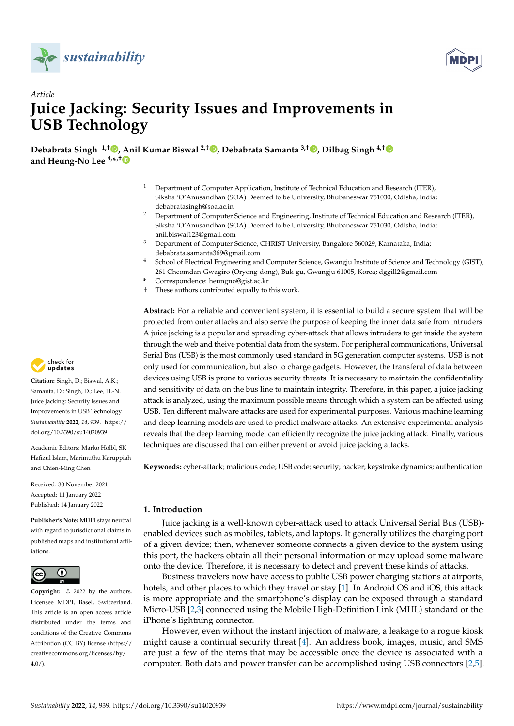



# *Article* **Juice Jacking: Security Issues and Improvements in USB Technology**

**Debabrata Singh 1,† [,](https://orcid.org/0000-0002-2721-5824) [An](https://orcid.org/0000-0001-8528-5778)il Kumar Biswal 2,† [,](https://orcid.org/0000-0001-7341-216X) Debabrata Samanta 3,† [,](https://orcid.org/0000-0003-4118-2480) Dilbag Singh 4,[†](https://orcid.org/0000-0001-6475-4491) and Heung-No Lee 4,\* ,†**

- <sup>1</sup> Department of Computer Application, Institute of Technical Education and Research (ITER), Siksha 'O'Anusandhan (SOA) Deemed to be University, Bhubaneswar 751030, Odisha, India; debabratasingh@soa.ac.in
- <sup>2</sup> Department of Computer Science and Engineering, Institute of Technical Education and Research (ITER), Siksha 'O'Anusandhan (SOA) Deemed to be University, Bhubaneswar 751030, Odisha, India; anil.biswal123@gmail.com
- <sup>3</sup> Department of Computer Science, CHRIST University, Bangalore 560029, Karnataka, India; debabrata.samanta369@gmail.com
- <sup>4</sup> School of Electrical Engineering and Computer Science, Gwangju Institute of Science and Technology (GIST), 261 Cheomdan-Gwagiro (Oryong-dong), Buk-gu, Gwangju 61005, Korea; dggill2@gmail.com
- **\*** Correspondence: heungno@gist.ac.kr
- † These authors contributed equally to this work.

**Abstract:** For a reliable and convenient system, it is essential to build a secure system that will be protected from outer attacks and also serve the purpose of keeping the inner data safe from intruders. A juice jacking is a popular and spreading cyber-attack that allows intruders to get inside the system through the web and theive potential data from the system. For peripheral communications, Universal Serial Bus (USB) is the most commonly used standard in 5G generation computer systems. USB is not only used for communication, but also to charge gadgets. However, the transferal of data between devices using USB is prone to various security threats. It is necessary to maintain the confidentiality and sensitivity of data on the bus line to maintain integrity. Therefore, in this paper, a juice jacking attack is analyzed, using the maximum possible means through which a system can be affected using USB. Ten different malware attacks are used for experimental purposes. Various machine learning and deep learning models are used to predict malware attacks. An extensive experimental analysis reveals that the deep learning model can efficiently recognize the juice jacking attack. Finally, various techniques are discussed that can either prevent or avoid juice jacking attacks.

**Keywords:** cyber-attack; malicious code; USB code; security; hacker; keystroke dynamics; authentication

# **1. Introduction**

Juice jacking is a well-known cyber-attack used to attack Universal Serial Bus (USB) enabled devices such as mobiles, tablets, and laptops. It generally utilizes the charging port of a given device; then, whenever someone connects a given device to the system using this port, the hackers obtain all their personal information or may upload some malware onto the device. Therefore, it is necessary to detect and prevent these kinds of attacks.

Business travelers now have access to public USB power charging stations at airports, hotels, and other places to which they travel or stay [\[1\]](#page-14-0). In Android OS and iOS, this attack is more appropriate and the smartphone's display can be exposed through a standard Micro-USB [\[2,](#page-14-1)[3\]](#page-14-2) connected using the Mobile High-Definition Link (MHL) standard or the iPhone's lightning connector.

However, even without the instant injection of malware, a leakage to a rogue kiosk might cause a continual security threat [\[4\]](#page-14-3). An address book, images, music, and SMS are just a few of the items that may be accessible once the device is associated with a computer. Both data and power transfer can be accomplished using USB connectors [\[2,](#page-14-1)[5\]](#page-14-4).



**Citation:** Singh, D.; Biswal, A.K.; Samanta, D.; Singh, D.; Lee, H.-N. Juice Jacking: Security Issues and Improvements in USB Technology. *Sustainability* **2022**, *14*, 939. [https://](https://doi.org/10.3390/su14020939) [doi.org/10.3390/su14020939](https://doi.org/10.3390/su14020939)

Academic Editors: Marko Hölbl, SK Hafizul Islam, Marimuthu Karuppiah and Chien-Ming Chen

Received: 30 November 2021 Accepted: 11 January 2022 Published: 14 January 2022

**Publisher's Note:** MDPI stays neutral with regard to jurisdictional claims in published maps and institutional affiliations.



**Copyright:** © 2022 by the authors. Licensee MDPI, Basel, Switzerland. This article is an open access article distributed under the terms and conditions of the Creative Commons Attribution (CC BY) license [\(https://](https://creativecommons.org/licenses/by/4.0/) [creativecommons.org/licenses/by/](https://creativecommons.org/licenses/by/4.0/)  $4.0/$ ).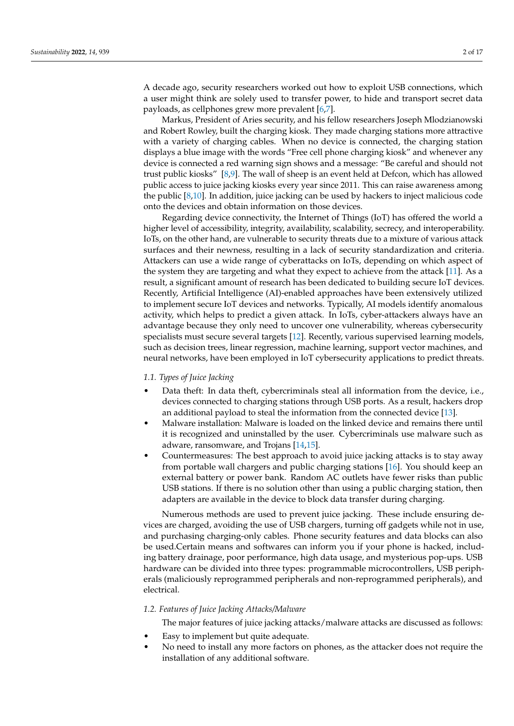A decade ago, security researchers worked out how to exploit USB connections, which a user might think are solely used to transfer power, to hide and transport secret data payloads, as cellphones grew more prevalent [\[6,](#page-14-5)[7\]](#page-14-6).

Markus, President of Aries security, and his fellow researchers Joseph Mlodzianowski and Robert Rowley, built the charging kiosk. They made charging stations more attractive with a variety of charging cables. When no device is connected, the charging station displays a blue image with the words "Free cell phone charging kiosk" and whenever any device is connected a red warning sign shows and a message: "Be careful and should not trust public kiosks" [\[8,](#page-14-7)[9\]](#page-14-8). The wall of sheep is an event held at Defcon, which has allowed public access to juice jacking kiosks every year since 2011. This can raise awareness among the public  $[8,10]$  $[8,10]$ . In addition, juice jacking can be used by hackers to inject malicious code onto the devices and obtain information on those devices.

Regarding device connectivity, the Internet of Things (IoT) has offered the world a higher level of accessibility, integrity, availability, scalability, secrecy, and interoperability. IoTs, on the other hand, are vulnerable to security threats due to a mixture of various attack surfaces and their newness, resulting in a lack of security standardization and criteria. Attackers can use a wide range of cyberattacks on IoTs, depending on which aspect of the system they are targeting and what they expect to achieve from the attack [\[11\]](#page-14-10). As a result, a significant amount of research has been dedicated to building secure IoT devices. Recently, Artificial Intelligence (AI)-enabled approaches have been extensively utilized to implement secure IoT devices and networks. Typically, AI models identify anomalous activity, which helps to predict a given attack. In IoTs, cyber-attackers always have an advantage because they only need to uncover one vulnerability, whereas cybersecurity specialists must secure several targets [\[12\]](#page-14-11). Recently, various supervised learning models, such as decision trees, linear regression, machine learning, support vector machines, and neural networks, have been employed in IoT cybersecurity applications to predict threats.

#### *1.1. Types of Juice Jacking*

- Data theft: In data theft, cybercriminals steal all information from the device, i.e., devices connected to charging stations through USB ports. As a result, hackers drop an additional payload to steal the information from the connected device [\[13\]](#page-14-12).
- Malware installation: Malware is loaded on the linked device and remains there until it is recognized and uninstalled by the user. Cybercriminals use malware such as adware, ransomware, and Trojans [\[14,](#page-14-13)[15\]](#page-14-14).
- Countermeasures: The best approach to avoid juice jacking attacks is to stay away from portable wall chargers and public charging stations [\[16\]](#page-14-15). You should keep an external battery or power bank. Random AC outlets have fewer risks than public USB stations. If there is no solution other than using a public charging station, then adapters are available in the device to block data transfer during charging.

Numerous methods are used to prevent juice jacking. These include ensuring devices are charged, avoiding the use of USB chargers, turning off gadgets while not in use, and purchasing charging-only cables. Phone security features and data blocks can also be used.Certain means and softwares can inform you if your phone is hacked, including battery drainage, poor performance, high data usage, and mysterious pop-ups. USB hardware can be divided into three types: programmable microcontrollers, USB peripherals (maliciously reprogrammed peripherals and non-reprogrammed peripherals), and electrical.

#### *1.2. Features of Juice Jacking Attacks/Malware*

The major features of juice jacking attacks/malware attacks are discussed as follows:

- Easy to implement but quite adequate.
- No need to install any more factors on phones, as the attacker does not require the installation of any additional software.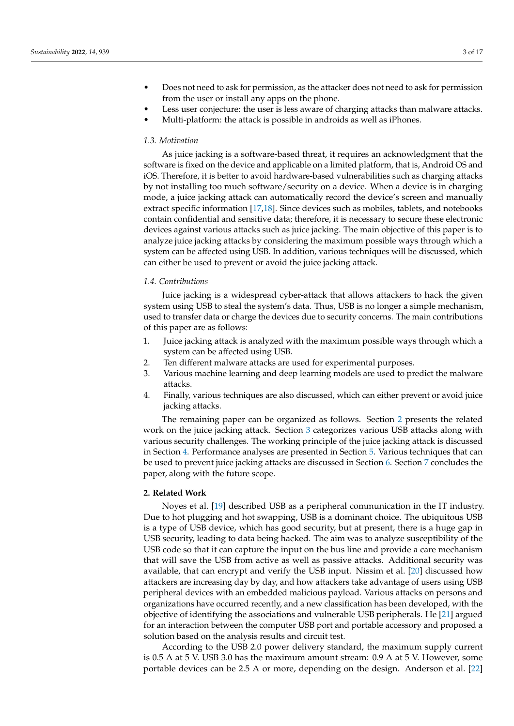- Does not need to ask for permission, as the attacker does not need to ask for permission from the user or install any apps on the phone.
- Less user conjecture: the user is less aware of charging attacks than malware attacks.
- Multi-platform: the attack is possible in androids as well as iPhones.

#### *1.3. Motivation*

As juice jacking is a software-based threat, it requires an acknowledgment that the software is fixed on the device and applicable on a limited platform, that is, Android OS and iOS. Therefore, it is better to avoid hardware-based vulnerabilities such as charging attacks by not installing too much software/security on a device. When a device is in charging mode, a juice jacking attack can automatically record the device's screen and manually extract specific information [\[17](#page-14-16)[,18\]](#page-14-17). Since devices such as mobiles, tablets, and notebooks contain confidential and sensitive data; therefore, it is necessary to secure these electronic devices against various attacks such as juice jacking. The main objective of this paper is to analyze juice jacking attacks by considering the maximum possible ways through which a system can be affected using USB. In addition, various techniques will be discussed, which can either be used to prevent or avoid the juice jacking attack.

# *1.4. Contributions*

Juice jacking is a widespread cyber-attack that allows attackers to hack the given system using USB to steal the system's data. Thus, USB is no longer a simple mechanism, used to transfer data or charge the devices due to security concerns. The main contributions of this paper are as follows:

- 1. Juice jacking attack is analyzed with the maximum possible ways through which a system can be affected using USB.
- 2. Ten different malware attacks are used for experimental purposes.
- 3. Various machine learning and deep learning models are used to predict the malware attacks.
- 4. Finally, various techniques are also discussed, which can either prevent or avoid juice jacking attacks.

The remaining paper can be organized as follows. Section [2](#page-2-0) presents the related work on the juice jacking attack. Section [3](#page-3-0) categorizes various USB attacks along with various security challenges. The working principle of the juice jacking attack is discussed in Section [4.](#page-4-0) Performance analyses are presented in Section [5.](#page-8-0) Various techniques that can be used to prevent juice jacking attacks are discussed in Section [6.](#page-11-0) Section [7](#page-13-0) concludes the paper, along with the future scope.

#### <span id="page-2-0"></span>**2. Related Work**

Noyes et al. [\[19\]](#page-14-18) described USB as a peripheral communication in the IT industry. Due to hot plugging and hot swapping, USB is a dominant choice. The ubiquitous USB is a type of USB device, which has good security, but at present, there is a huge gap in USB security, leading to data being hacked. The aim was to analyze susceptibility of the USB code so that it can capture the input on the bus line and provide a care mechanism that will save the USB from active as well as passive attacks. Additional security was available, that can encrypt and verify the USB input. Nissim et al. [\[20\]](#page-14-19) discussed how attackers are increasing day by day, and how attackers take advantage of users using USB peripheral devices with an embedded malicious payload. Various attacks on persons and organizations have occurred recently, and a new classification has been developed, with the objective of identifying the associations and vulnerable USB peripherals. He [\[21\]](#page-14-20) argued for an interaction between the computer USB port and portable accessory and proposed a solution based on the analysis results and circuit test.

According to the USB 2.0 power delivery standard, the maximum supply current is 0.5 A at 5 V. USB 3.0 has the maximum amount stream: 0.9 A at 5 V. However, some portable devices can be 2.5 A or more, depending on the design. Anderson et al. [\[22\]](#page-14-21)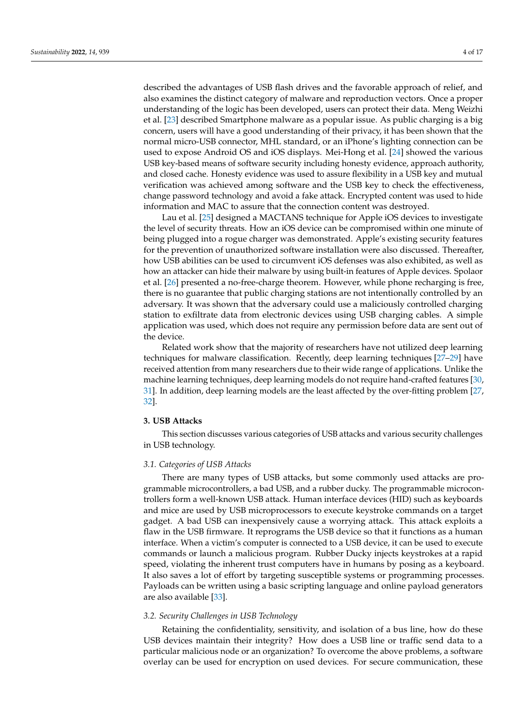described the advantages of USB flash drives and the favorable approach of relief, and also examines the distinct category of malware and reproduction vectors. Once a proper understanding of the logic has been developed, users can protect their data. Meng Weizhi et al. [\[23\]](#page-14-22) described Smartphone malware as a popular issue. As public charging is a big concern, users will have a good understanding of their privacy, it has been shown that the normal micro-USB connector, MHL standard, or an iPhone's lighting connection can be used to expose Android OS and iOS displays. Mei-Hong et al. [\[24\]](#page-14-23) showed the various USB key-based means of software security including honesty evidence, approach authority, and closed cache. Honesty evidence was used to assure flexibility in a USB key and mutual verification was achieved among software and the USB key to check the effectiveness, change password technology and avoid a fake attack. Encrypted content was used to hide information and MAC to assure that the connection content was destroyed.

Lau et al. [\[25\]](#page-14-24) designed a MACTANS technique for Apple iOS devices to investigate the level of security threats. How an iOS device can be compromised within one minute of being plugged into a rogue charger was demonstrated. Apple's existing security features for the prevention of unauthorized software installation were also discussed. Thereafter, how USB abilities can be used to circumvent iOS defenses was also exhibited, as well as how an attacker can hide their malware by using built-in features of Apple devices. Spolaor et al. [\[26\]](#page-14-25) presented a no-free-charge theorem. However, while phone recharging is free, there is no guarantee that public charging stations are not intentionally controlled by an adversary. It was shown that the adversary could use a maliciously controlled charging station to exfiltrate data from electronic devices using USB charging cables. A simple application was used, which does not require any permission before data are sent out of the device.

Related work show that the majority of researchers have not utilized deep learning techniques for malware classification. Recently, deep learning techniques [\[27](#page-15-0)[–29\]](#page-15-1) have received attention from many researchers due to their wide range of applications. Unlike the machine learning techniques, deep learning models do not require hand-crafted features [\[30,](#page-15-2) [31\]](#page-15-3). In addition, deep learning models are the least affected by the over-fitting problem [\[27,](#page-15-0) [32\]](#page-15-4).

## <span id="page-3-0"></span>**3. USB Attacks**

This section discusses various categories of USB attacks and various security challenges in USB technology.

#### *3.1. Categories of USB Attacks*

There are many types of USB attacks, but some commonly used attacks are programmable microcontrollers, a bad USB, and a rubber ducky. The programmable microcontrollers form a well-known USB attack. Human interface devices (HID) such as keyboards and mice are used by USB microprocessors to execute keystroke commands on a target gadget. A bad USB can inexpensively cause a worrying attack. This attack exploits a flaw in the USB firmware. It reprograms the USB device so that it functions as a human interface. When a victim's computer is connected to a USB device, it can be used to execute commands or launch a malicious program. Rubber Ducky injects keystrokes at a rapid speed, violating the inherent trust computers have in humans by posing as a keyboard. It also saves a lot of effort by targeting susceptible systems or programming processes. Payloads can be written using a basic scripting language and online payload generators are also available [\[33\]](#page-15-5).

## *3.2. Security Challenges in USB Technology*

Retaining the confidentiality, sensitivity, and isolation of a bus line, how do these USB devices maintain their integrity? How does a USB line or traffic send data to a particular malicious node or an organization? To overcome the above problems, a software overlay can be used for encryption on used devices. For secure communication, these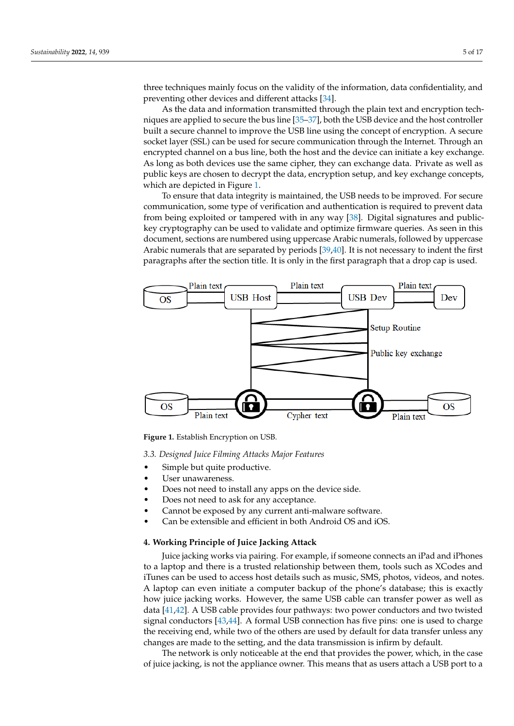three techniques mainly focus on the validity of the information, data confidentiality, and preventing other devices and different attacks [\[34\]](#page-15-6).

As the data and information transmitted through the plain text and encryption techniques are applied to secure the bus line [\[35](#page-15-7)[–37\]](#page-15-8), both the USB device and the host controller built a secure channel to improve the USB line using the concept of encryption. A secure socket layer (SSL) can be used for secure communication through the Internet. Through an encrypted channel on a bus line, both the host and the device can initiate a key exchange. As long as both devices use the same cipher, they can exchange data. Private as well as public keys are chosen to decrypt the data, encryption setup, and key exchange concepts, which are depicted in Figure [1.](#page-4-1)

To ensure that data integrity is maintained, the USB needs to be improved. For secure communication, some type of verification and authentication is required to prevent data from being exploited or tampered with in any way [\[38\]](#page-15-9). Digital signatures and publickey cryptography can be used to validate and optimize firmware queries. As seen in this document, sections are numbered using uppercase Arabic numerals, followed by uppercase Arabic numerals that are separated by periods [\[39,](#page-15-10)[40\]](#page-15-11). It is not necessary to indent the first paragraphs after the section title. It is only in the first paragraph that a drop cap is used.

<span id="page-4-1"></span>

**Figure 1.** Establish Encryption on USB.

*3.3. Designed Juice Filming Attacks Major Features*

- Simple but quite productive.
- User unawareness.
- Does not need to install any apps on the device side.
- Does not need to ask for any acceptance.
- Cannot be exposed by any current anti-malware software.
- Can be extensible and efficient in both Android OS and iOS.

## <span id="page-4-0"></span>**4. Working Principle of Juice Jacking Attack**

Juice jacking works via pairing. For example, if someone connects an iPad and iPhones to a laptop and there is a trusted relationship between them, tools such as XCodes and iTunes can be used to access host details such as music, SMS, photos, videos, and notes. A laptop can even initiate a computer backup of the phone's database; this is exactly how juice jacking works. However, the same USB cable can transfer power as well as data [\[41,](#page-15-12)[42\]](#page-15-13). A USB cable provides four pathways: two power conductors and two twisted signal conductors [\[43,](#page-15-14)[44\]](#page-15-15). A formal USB connection has five pins: one is used to charge the receiving end, while two of the others are used by default for data transfer unless any changes are made to the setting, and the data transmission is infirm by default.

The network is only noticeable at the end that provides the power, which, in the case of juice jacking, is not the appliance owner. This means that as users attach a USB port to a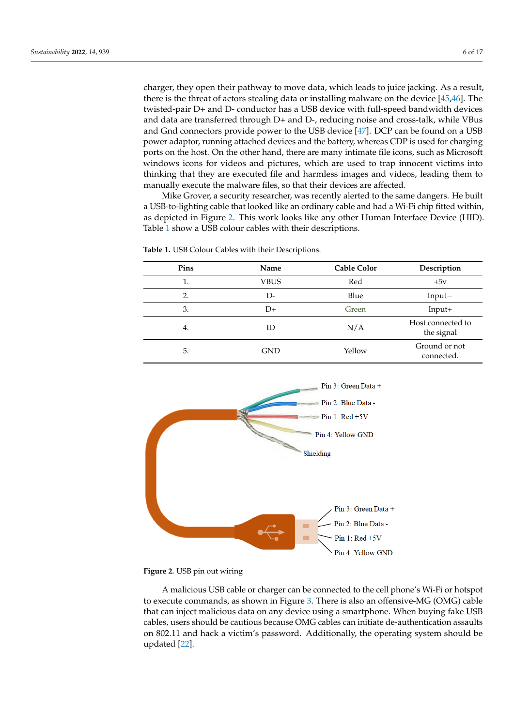charger, they open their pathway to move data, which leads to juice jacking. As a result, there is the threat of actors stealing data or installing malware on the device [\[45](#page-15-16)[,46\]](#page-15-17). The twisted-pair D+ and D- conductor has a USB device with full-speed bandwidth devices and data are transferred through D+ and D-, reducing noise and cross-talk, while VBus and Gnd connectors provide power to the USB device [\[47\]](#page-15-18). DCP can be found on a USB power adaptor, running attached devices and the battery, whereas CDP is used for charging ports on the host. On the other hand, there are many intimate file icons, such as Microsoft windows icons for videos and pictures, which are used to trap innocent victims into thinking that they are executed file and harmless images and videos, leading them to manually execute the malware files, so that their devices are affected.

Mike Grover, a security researcher, was recently alerted to the same dangers. He built a USB-to-lighting cable that looked like an ordinary cable and had a Wi-Fi chip fitted within, as depicted in Figure [2.](#page-5-0) This work looks like any other Human Interface Device (HID). Table [1](#page-5-1) show a USB colour cables with their descriptions.

**Pins Name Cable Color Description** 1. VBUS Red +5v 2. D- D- Blue Input− 3. D+ Green Input+ 4. ID N/A Host connected to the signal 5. GND GND Yellow Ground or not connected.

<span id="page-5-1"></span>

<span id="page-5-0"></span>

**Figure 2.** USB pin out wiring

A malicious USB cable or charger can be connected to the cell phone's Wi-Fi or hotspot to execute commands, as shown in Figure [3.](#page-6-0) There is also an offensive-MG (OMG) cable that can inject malicious data on any device using a smartphone. When buying fake USB cables, users should be cautious because OMG cables can initiate de-authentication assaults on 802.11 and hack a victim's password. Additionally, the operating system should be updated [\[22\]](#page-14-21).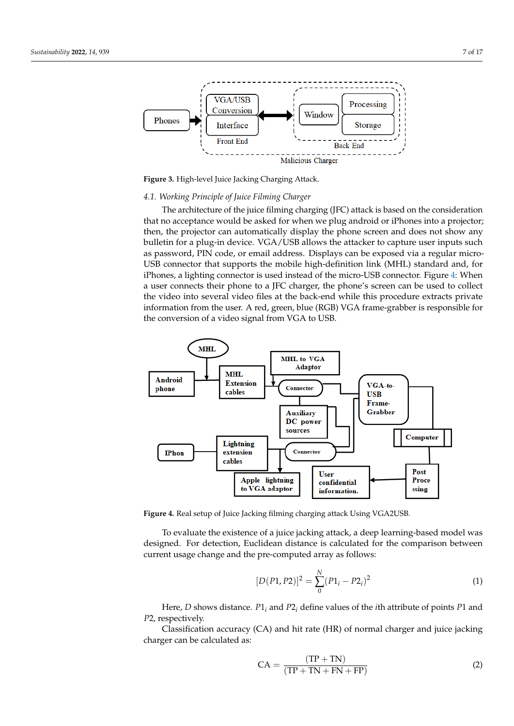<span id="page-6-0"></span>

**Figure 3.** High-level Juice Jacking Charging Attack.

#### *4.1. Working Principle of Juice Filming Charger*

The architecture of the juice filming charging (JFC) attack is based on the consideration that no acceptance would be asked for when we plug android or iPhones into a projector; then, the projector can automatically display the phone screen and does not show any bulletin for a plug-in device. VGA/USB allows the attacker to capture user inputs such as password, PIN code, or email address. Displays can be exposed via a regular micro-USB connector that supports the mobile high-definition link (MHL) standard and, for iPhones, a lighting connector is used instead of the micro-USB connector. Figure [4:](#page-6-1) When a user connects their phone to a JFC charger, the phone's screen can be used to collect the video into several video files at the back-end while this procedure extracts private information from the user. A red, green, blue (RGB) VGA frame-grabber is responsible for the conversion of a video signal from VGA to USB.

<span id="page-6-1"></span>

**Figure 4.** Real setup of Juice Jacking filming charging attack Using VGA2USB.

To evaluate the existence of a juice jacking attack, a deep learning-based model was designed. For detection, Euclidean distance is calculated for the comparison between current usage change and the pre-computed array as follows:

$$
[D(P1, P2)]^2 = \sum_{0}^{N} (P1_i - P2_i)^2
$$
 (1)

Here, *D* shows distance. *P*1*<sup>i</sup>* and *P*2*<sup>i</sup>* define values of the *i*th attribute of points *P*1 and *P*2, respectively.

Classification accuracy (CA) and hit rate (HR) of normal charger and juice jacking charger can be calculated as:

$$
CA = \frac{(TP + TN)}{(TP + TN + FN + FP)}
$$
 (2)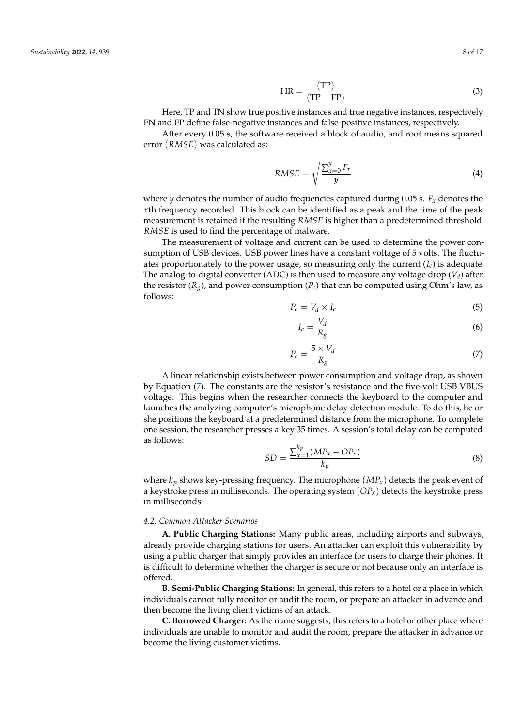$$
HR = \frac{(TP)}{(TP + FP)}
$$
\n(3)

Here, TP and TN show true positive instances and true negative instances, respectively. FN and FP define false-negative instances and false-positive instances, respectively.

After every 0.05 s, the software received a block of audio, and root means squared error (*RMSE*) was calculated as:

$$
RMSE = \sqrt{\frac{\sum_{x=0}^{y} F_x}{y}}
$$
(4)

where *y* denotes the number of audio frequencies captured during 0.05 s.  $F_x$  denotes the *x*th frequency recorded. This block can be identified as a peak and the time of the peak measurement is retained if the resulting *RMSE* is higher than a predetermined threshold. *RMSE* is used to find the percentage of malware.

The measurement of voltage and current can be used to determine the power consumption of USB devices. USB power lines have a constant voltage of 5 volts. The fluctuates proportionately to the power usage, so measuring only the current (*Ic*) is adequate. The analog-to-digital converter (ADC) is then used to measure any voltage drop (*V<sup>d</sup>* ) after the resistor (*Rg*), and power consumption (*Pc*) that can be computed using Ohm's law, as follows:

$$
P_c = V_d \times I_c \tag{5}
$$

$$
I_c = \frac{V_d}{R_g} \tag{6}
$$

<span id="page-7-0"></span>
$$
P_c = \frac{5 \times V_d}{R_g} \tag{7}
$$

A linear relationship exists between power consumption and voltage drop, as shown by Equation [\(7\)](#page-7-0). The constants are the resistor's resistance and the five-volt USB VBUS voltage. This begins when the researcher connects the keyboard to the computer and launches the analyzing computer's microphone delay detection module. To do this, he or she positions the keyboard at a predetermined distance from the microphone. To complete one session, the researcher presses a key 35 times. A session's total delay can be computed as follows:

$$
SD = \frac{\sum_{x=1}^{k_p} (MP_x - OP_x)}{k_p} \tag{8}
$$

where  $k_p$  shows key-pressing frequency. The microphone  $(MP_x)$  detects the peak event of a keystroke press in milliseconds. The operating system (*OPx*) detects the keystroke press in milliseconds.

#### *4.2. Common Attacker Scenarios*

**A. Public Charging Stations:** Many public areas, including airports and subways, already provide charging stations for users. An attacker can exploit this vulnerability by using a public charger that simply provides an interface for users to charge their phones. It is difficult to determine whether the charger is secure or not because only an interface is offered.

**B. Semi-Public Charging Stations:** In general, this refers to a hotel or a place in which individuals cannot fully monitor or audit the room, or prepare an attacker in advance and then become the living client victims of an attack.

**C. Borrowed Charger:** As the name suggests, this refers to a hotel or other place where individuals are unable to monitor and audit the room, prepare the attacker in advance or become the living customer victims.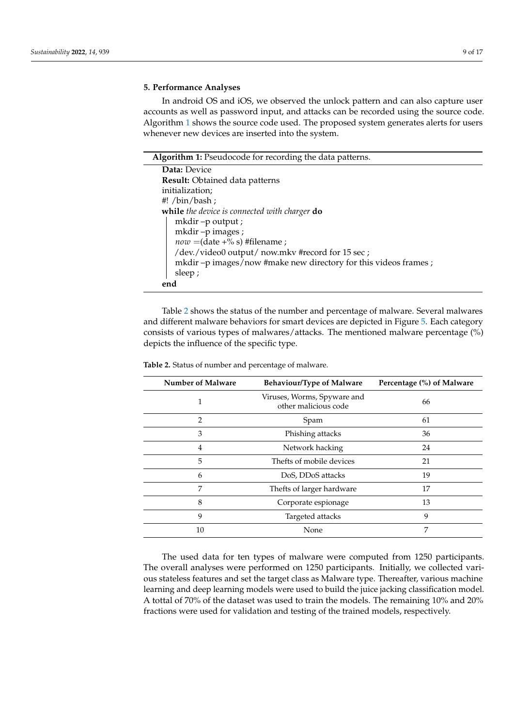## <span id="page-8-0"></span>**5. Performance Analyses**

In android OS and iOS, we observed the unlock pattern and can also capture user accounts as well as password input, and attacks can be recorded using the source code. Algorithm [1](#page-8-1) shows the source code used. The proposed system generates alerts for users whenever new devices are inserted into the system.

<span id="page-8-1"></span>

| Algorithm 1: Pseudocode for recording the data patterns.         |
|------------------------------------------------------------------|
| Data: Device                                                     |
| Result: Obtained data patterns                                   |
| initialization;                                                  |
| #! $\binom{th}{k}$                                               |
| while the device is connected with charger do                    |
| $m$ kdir $-p$ output;                                            |
| mkdir-pimages;                                                   |
| $now = (date +\% s) # filename ;$                                |
| /dev./video0 output/ now.mkv #record for 15 sec ;                |
| mkdir -p images/now #make new directory for this videos frames ; |
| sleep;                                                           |
| end                                                              |

Table [2](#page-8-2) shows the status of the number and percentage of malware. Several malwares and different malware behaviors for smart devices are depicted in Figure [5.](#page-9-0) Each category consists of various types of malwares/attacks. The mentioned malware percentage (%) depicts the influence of the specific type.

| <b>Number of Malware</b> | <b>Behaviour/Type of Malware</b>                    | Percentage (%) of Malware |
|--------------------------|-----------------------------------------------------|---------------------------|
| 1                        | Viruses, Worms, Spyware and<br>other malicious code | 66                        |
| 2                        | Spam                                                | 61                        |
| 3                        | Phishing attacks                                    | 36                        |
| 4                        | Network hacking                                     | 24                        |
| 5                        | Thefts of mobile devices                            | 21                        |
| 6                        | DoS, DDoS attacks                                   | 19                        |
| 7                        | Thefts of larger hardware                           | 17                        |
| 8                        | Corporate espionage                                 | 13                        |
| 9                        | Targeted attacks                                    | 9                         |
| 10                       | None                                                | 7                         |

<span id="page-8-2"></span>**Table 2.** Status of number and percentage of malware.

The used data for ten types of malware were computed from 1250 participants. The overall analyses were performed on 1250 participants. Initially, we collected various stateless features and set the target class as Malware type. Thereafter, various machine learning and deep learning models were used to build the juice jacking classification model. A tottal of 70% of the dataset was used to train the models. The remaining 10% and 20% fractions were used for validation and testing of the trained models, respectively.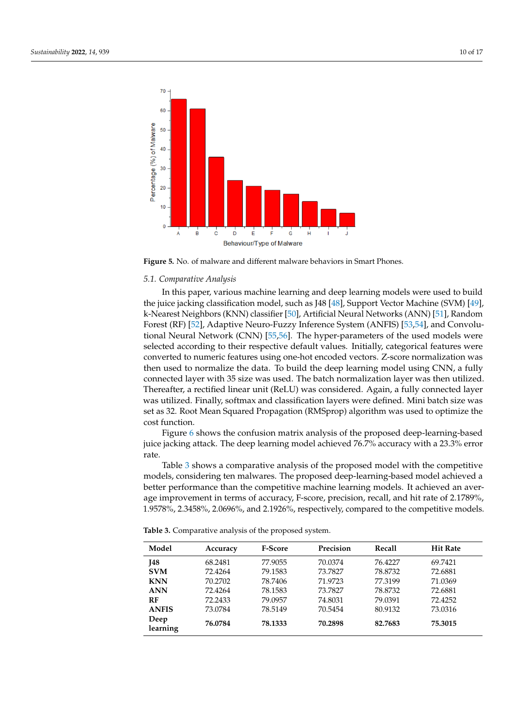<span id="page-9-0"></span>

**Figure 5.** No. of malware and different malware behaviors in Smart Phones.

#### *5.1. Comparative Analysis*

In this paper, various machine learning and deep learning models were used to build the juice jacking classification model, such as J48 [\[48\]](#page-15-19), Support Vector Machine (SVM) [\[49\]](#page-15-20), k-Nearest Neighbors (KNN) classifier [\[50\]](#page-15-21), Artificial Neural Networks (ANN) [\[51\]](#page-15-22), Random Forest (RF) [\[52\]](#page-15-23), Adaptive Neuro-Fuzzy Inference System (ANFIS) [\[53,](#page-16-0)[54\]](#page-16-1), and Convolutional Neural Network (CNN) [\[55,](#page-16-2)[56\]](#page-16-3). The hyper-parameters of the used models were selected according to their respective default values. Initially, categorical features were converted to numeric features using one-hot encoded vectors. Z-score normalization was then used to normalize the data. To build the deep learning model using CNN, a fully connected layer with 35 size was used. The batch normalization layer was then utilized. Thereafter, a rectified linear unit (ReLU) was considered. Again, a fully connected layer was utilized. Finally, softmax and classification layers were defined. Mini batch size was set as 32. Root Mean Squared Propagation (RMSprop) algorithm was used to optimize the cost function.

Figure [6](#page-10-0) shows the confusion matrix analysis of the proposed deep-learning-based juice jacking attack. The deep learning model achieved 76.7% accuracy with a 23.3% error rate.

Table [3](#page-9-1) shows a comparative analysis of the proposed model with the competitive models, considering ten malwares. The proposed deep-learning-based model achieved a better performance than the competitive machine learning models. It achieved an average improvement in terms of accuracy, F-score, precision, recall, and hit rate of 2.1789%, 1.9578%, 2.3458%, 2.0696%, and 2.1926%, respectively, compared to the competitive models.

| Model            | Accuracy | <b>F-Score</b> | Precision | Recall  | <b>Hit Rate</b> |
|------------------|----------|----------------|-----------|---------|-----------------|
| <b>I48</b>       | 68.2481  | 77.9055        | 70.0374   | 76.4227 | 69.7421         |
| <b>SVM</b>       | 72.4264  | 79.1583        | 73.7827   | 78.8732 | 72.6881         |
| <b>KNN</b>       | 70.2702  | 78.7406        | 71.9723   | 77.3199 | 71.0369         |
| <b>ANN</b>       | 72.4264  | 78.1583        | 73.7827   | 78.8732 | 72.6881         |
| RF               | 72.2433  | 79.0957        | 74.8031   | 79.0391 | 72.4252         |
| <b>ANFIS</b>     | 73.0784  | 78.5149        | 70.5454   | 80.9132 | 73.0316         |
| Deep<br>learning | 76.0784  | 78.1333        | 70.2898   | 82.7683 | 75.3015         |

<span id="page-9-1"></span>**Table 3.** Comparative analysis of the proposed system.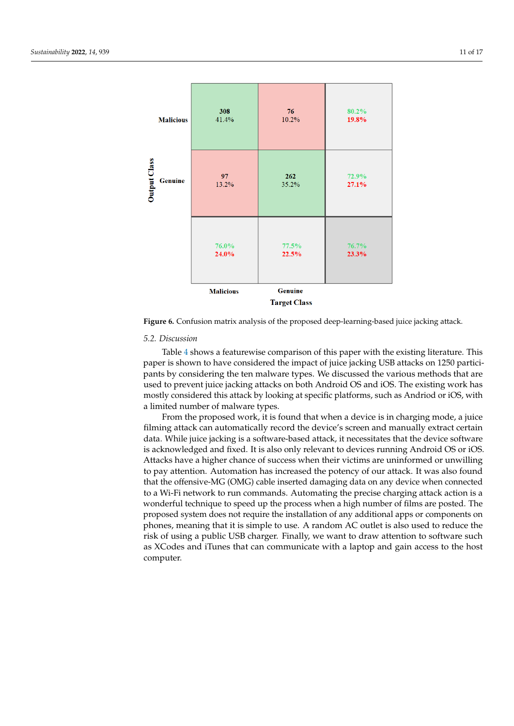<span id="page-10-0"></span>

**Figure 6.** Confusion matrix analysis of the proposed deep-learning-based juice jacking attack.

## *5.2. Discussion*

Table [4](#page-11-1) shows a featurewise comparison of this paper with the existing literature. This paper is shown to have considered the impact of juice jacking USB attacks on 1250 participants by considering the ten malware types. We discussed the various methods that are used to prevent juice jacking attacks on both Android OS and iOS. The existing work has mostly considered this attack by looking at specific platforms, such as Andriod or iOS, with a limited number of malware types.

From the proposed work, it is found that when a device is in charging mode, a juice filming attack can automatically record the device's screen and manually extract certain data. While juice jacking is a software-based attack, it necessitates that the device software is acknowledged and fixed. It is also only relevant to devices running Android OS or iOS. Attacks have a higher chance of success when their victims are uninformed or unwilling to pay attention. Automation has increased the potency of our attack. It was also found that the offensive-MG (OMG) cable inserted damaging data on any device when connected to a Wi-Fi network to run commands. Automating the precise charging attack action is a wonderful technique to speed up the process when a high number of films are posted. The proposed system does not require the installation of any additional apps or components on phones, meaning that it is simple to use. A random AC outlet is also used to reduce the risk of using a public USB charger. Finally, we want to draw attention to software such as XCodes and iTunes that can communicate with a laptop and gain access to the host computer.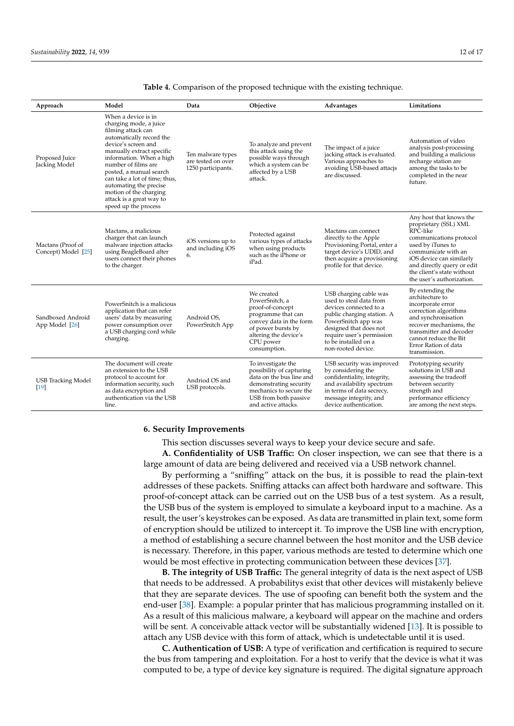| Approach                                 | Model                                                                                                                                                                                                                                                                                                                                                                      | Data                                                          | Objective                                                                                                                                                                       | Advantages                                                                                                                                                                                                                            | Limitations                                                                                                                                                                                                                                              |
|------------------------------------------|----------------------------------------------------------------------------------------------------------------------------------------------------------------------------------------------------------------------------------------------------------------------------------------------------------------------------------------------------------------------------|---------------------------------------------------------------|---------------------------------------------------------------------------------------------------------------------------------------------------------------------------------|---------------------------------------------------------------------------------------------------------------------------------------------------------------------------------------------------------------------------------------|----------------------------------------------------------------------------------------------------------------------------------------------------------------------------------------------------------------------------------------------------------|
| Proposed Juice<br>Jacking Model          | When a device is in<br>charging mode, a juice<br>filming attack can<br>automatically record the<br>device's screen and<br>manually extract specific<br>information. When a high<br>number of films are<br>posted, a manual search<br>can take a lot of time; thus,<br>automating the precise<br>motion of the charging<br>attack is a great way to<br>speed up the process | Ten malware types<br>are tested on over<br>1250 participants. | To analyze and prevent<br>this attack using the<br>possible ways through<br>which a system can be<br>affected by a USB<br>attack.                                               | The impact of a juice<br>jacking attack is evaluated.<br>Various approaches to<br>avoiding USB-based attacjs<br>are discussed.                                                                                                        | Automation of video<br>analysis post-processing<br>and building a malicious<br>recharge station are<br>among the tasks to be<br>completed in the near<br>future.                                                                                         |
| Mactans (Proof of<br>Concept) Model [25] | Mactans, a malicious<br>charger that can launch<br>malware injection attacks<br>using BeagleBoard after<br>users connect their phones<br>to the charger.                                                                                                                                                                                                                   | iOS versions up to<br>and including iOS<br>6.                 | Protected against<br>various types of attacks<br>when using products<br>such as the iPhone or<br>iPad.                                                                          | Mactans can connect<br>directly to the Apple<br>Provisioning Portal, enter a<br>target device's UDID, and<br>then acquire a provisioning<br>profile for that device.                                                                  | Any host that knows the<br>proprietary (SSL) XML<br>RPC-like<br>communications protocol<br>used by iTunes to<br>communicate with an<br>iOS device can similarly<br>and directly query or edit<br>the client's state without<br>the user's authorization. |
| Sandboxed Android<br>App Model [26]      | PowerSnitch is a malicious<br>application that can refer<br>users' data by measuring<br>power consumption over<br>a USB charging cord while<br>charging.                                                                                                                                                                                                                   | Android OS,<br>PowerSnitch App                                | We created<br>PowerSnitch, a<br>proof-of-concept<br>programme that can<br>convey data in the form<br>of power bursts by<br>altering the device's<br>CPU power<br>consumption.   | USB charging cable was<br>used to steal data from<br>devices connected to a<br>public charging station. A<br>PowerSnitch app was<br>designed that does not<br>require user's permission<br>to be installed on a<br>non-rooted device. | By extending the<br>architecture to<br>incorporate error<br>correction algorithms<br>and synchronisation<br>recover mechanisms, the<br>transmitter and decoder<br>cannot reduce the Bit<br>Error Ration of data<br>transmission.                         |
| <b>USB Tracking Model</b><br>$[19]$      | The document will create<br>an extension to the USB<br>protocol to account for<br>information security, such<br>as data encryption and<br>authentication via the USB<br>line.                                                                                                                                                                                              | Andriod OS and<br>USB protocols.                              | To investigate the<br>possibility of capturing<br>data on the bus line and<br>demonstrating security<br>mechanics to secure the<br>USB from both passive<br>and active attacks. | USB security was improved<br>by considering the<br>confidentiality, integrity,<br>and availability spectrum<br>in terms of data secrecy,<br>message integrity, and<br>device authentication.                                          | Prototyping security<br>solutions in USB and<br>assessing the tradeoff<br>between security<br>strength and<br>performance efficiency<br>are among the next steps.                                                                                        |

<span id="page-11-1"></span>**Table 4.** Comparison of the proposed technique with the existing technique.

#### <span id="page-11-0"></span>**6. Security Improvements**

This section discusses several ways to keep your device secure and safe.

**A. Confidentiality of USB Traffic:** On closer inspection, we can see that there is a large amount of data are being delivered and received via a USB network channel.

By performing a "sniffing" attack on the bus, it is possible to read the plain-text addresses of these packets. Sniffing attacks can affect both hardware and software. This proof-of-concept attack can be carried out on the USB bus of a test system. As a result, the USB bus of the system is employed to simulate a keyboard input to a machine. As a result, the user's keystrokes can be exposed. As data are transmitted in plain text, some form of encryption should be utilized to intercept it. To improve the USB line with encryption, a method of establishing a secure channel between the host monitor and the USB device is necessary. Therefore, in this paper, various methods are tested to determine which one would be most effective in protecting communication between these devices [\[37\]](#page-15-8).

**B. The integrity of USB Traffic:** The general integrity of data is the next aspect of USB that needs to be addressed. A probabilitys exist that other devices will mistakenly believe that they are separate devices. The use of spoofing can benefit both the system and the end-user [\[38\]](#page-15-9). Example: a popular printer that has malicious programming installed on it. As a result of this malicious malware, a keyboard will appear on the machine and orders will be sent. A conceivable attack vector will be substantially widened [\[13\]](#page-14-12). It is possible to attach any USB device with this form of attack, which is undetectable until it is used.

**C. Authentication of USB:** A type of verification and certification is required to secure the bus from tampering and exploitation. For a host to verify that the device is what it was computed to be, a type of device key signature is required. The digital signature approach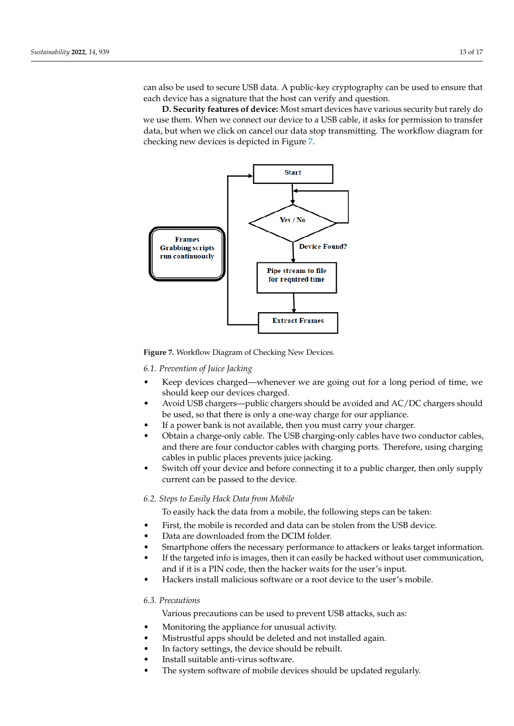can also be used to secure USB data. A public-key cryptography can be used to ensure that each device has a signature that the host can verify and question.

**D. Security features of device:** Most smart devices have various security but rarely do we use them. When we connect our device to a USB cable, it asks for permission to transfer data, but when we click on cancel our data stop transmitting. The workflow diagram for checking new devices is depicted in Figure [7.](#page-12-0)

<span id="page-12-0"></span>

**Figure 7.** Workflow Diagram of Checking New Devices.

# *6.1. Prevention of Juice Jacking*

- Keep devices charged—whenever we are going out for a long period of time, we should keep our devices charged.
- Avoid USB chargers—public chargers should be avoided and AC/DC chargers should be used, so that there is only a one-way charge for our appliance.
- If a power bank is not available, then you must carry your charger.
- Obtain a charge-only cable. The USB charging-only cables have two conductor cables, and there are four conductor cables with charging ports. Therefore, using charging cables in public places prevents juice jacking.
- Switch off your device and before connecting it to a public charger, then only supply current can be passed to the device.

## *6.2. Steps to Easily Hack Data from Mobile*

To easily hack the data from a mobile, the following steps can be taken:

- First, the mobile is recorded and data can be stolen from the USB device.
- Data are downloaded from the DCIM folder.
- Smartphone offers the necessary performance to attackers or leaks target information.
- If the targeted info is images, then it can easily be hacked without user communication, and if it is a PIN code, then the hacker waits for the user's input.
- Hackers install malicious software or a root device to the user's mobile.

## *6.3. Precautions*

Various precautions can be used to prevent USB attacks, such as:

- Monitoring the appliance for unusual activity.
- Mistrustful apps should be deleted and not installed again.
- In factory settings, the device should be rebuilt.
- Install suitable anti-virus software.
- The system software of mobile devices should be updated regularly.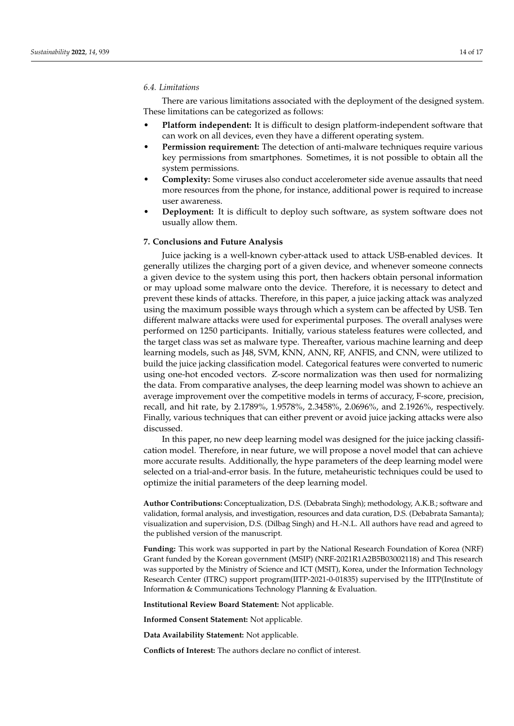#### *6.4. Limitations*

There are various limitations associated with the deployment of the designed system. These limitations can be categorized as follows:

- **Platform independent:** It is difficult to design platform-independent software that can work on all devices, even they have a different operating system.
- **Permission requirement:** The detection of anti-malware techniques require various key permissions from smartphones. Sometimes, it is not possible to obtain all the system permissions.
- **Complexity:** Some viruses also conduct accelerometer side avenue assaults that need more resources from the phone, for instance, additional power is required to increase user awareness.
- **Deployment:** It is difficult to deploy such software, as system software does not usually allow them.

#### <span id="page-13-0"></span>**7. Conclusions and Future Analysis**

Juice jacking is a well-known cyber-attack used to attack USB-enabled devices. It generally utilizes the charging port of a given device, and whenever someone connects a given device to the system using this port, then hackers obtain personal information or may upload some malware onto the device. Therefore, it is necessary to detect and prevent these kinds of attacks. Therefore, in this paper, a juice jacking attack was analyzed using the maximum possible ways through which a system can be affected by USB. Ten different malware attacks were used for experimental purposes. The overall analyses were performed on 1250 participants. Initially, various stateless features were collected, and the target class was set as malware type. Thereafter, various machine learning and deep learning models, such as J48, SVM, KNN, ANN, RF, ANFIS, and CNN, were utilized to build the juice jacking classification model. Categorical features were converted to numeric using one-hot encoded vectors. Z-score normalization was then used for normalizing the data. From comparative analyses, the deep learning model was shown to achieve an average improvement over the competitive models in terms of accuracy, F-score, precision, recall, and hit rate, by 2.1789%, 1.9578%, 2.3458%, 2.0696%, and 2.1926%, respectively. Finally, various techniques that can either prevent or avoid juice jacking attacks were also discussed.

In this paper, no new deep learning model was designed for the juice jacking classification model. Therefore, in near future, we will propose a novel model that can achieve more accurate results. Additionally, the hype parameters of the deep learning model were selected on a trial-and-error basis. In the future, metaheuristic techniques could be used to optimize the initial parameters of the deep learning model.

**Author Contributions:** Conceptualization, D.S. (Debabrata Singh); methodology, A.K.B.; software and validation, formal analysis, and investigation, resources and data curation, D.S. (Debabrata Samanta); visualization and supervision, D.S. (Dilbag Singh) and H.-N.L. All authors have read and agreed to the published version of the manuscript.

**Funding:** This work was supported in part by the National Research Foundation of Korea (NRF) Grant funded by the Korean government (MSIP) (NRF-2021R1A2B5B03002118) and This research was supported by the Ministry of Science and ICT (MSIT), Korea, under the Information Technology Research Center (ITRC) support program(IITP-2021-0-01835) supervised by the IITP(Institute of Information & Communications Technology Planning & Evaluation.

**Institutional Review Board Statement:** Not applicable.

**Informed Consent Statement:** Not applicable.

**Data Availability Statement:** Not applicable.

**Conflicts of Interest:** The authors declare no conflict of interest.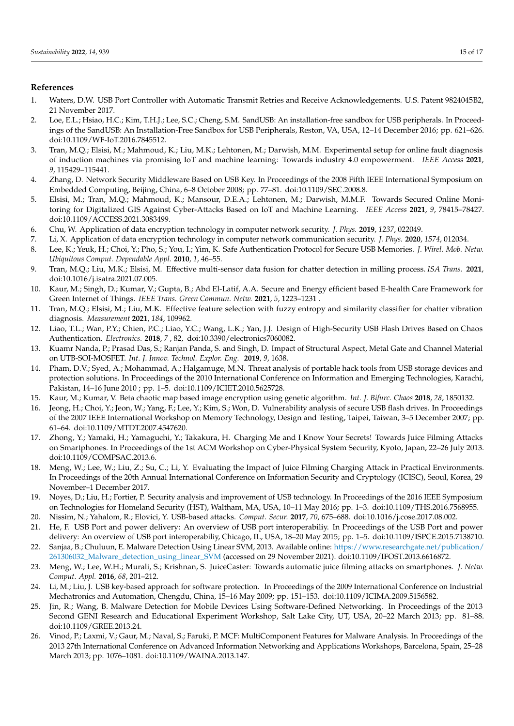## **References**

- <span id="page-14-0"></span>1. Waters, D.W. USB Port Controller with Automatic Transmit Retries and Receive Acknowledgements. U.S. Patent 9824045B2, 21 November 2017.
- <span id="page-14-1"></span>2. Loe, E.L.; Hsiao, H.C.; Kim, T.H.J.; Lee, S.C.; Cheng, S.M. SandUSB: An installation-free sandbox for USB peripherals. In Proceedings of the SandUSB: An Installation-Free Sandbox for USB Peripherals, Reston, VA, USA, 12–14 December 2016; pp. 621–626. doi[:10.1109/WF-IoT.2016.7845512.](https://doi.org/10.1109/WF-IoT.2016.7845512)
- <span id="page-14-2"></span>3. Tran, M.Q.; Elsisi, M.; Mahmoud, K.; Liu, M.K.; Lehtonen, M.; Darwish, M.M. Experimental setup for online fault diagnosis of induction machines via promising IoT and machine learning: Towards industry 4.0 empowerment. *IEEE Access* **2021**, *9*, 115429–115441.
- <span id="page-14-3"></span>4. Zhang, D. Network Security Middleware Based on USB Key. In Proceedings of the 2008 Fifth IEEE International Symposium on Embedded Computing, Beijing, China, 6–8 October 2008; pp. 77–81. doi[:10.1109/SEC.2008.8.](https://doi.org/10.1109/SEC.2008.8)
- <span id="page-14-4"></span>5. Elsisi, M.; Tran, M.Q.; Mahmoud, K.; Mansour, D.E.A.; Lehtonen, M.; Darwish, M.M.F. Towards Secured Online Monitoring for Digitalized GIS Against Cyber-Attacks Based on IoT and Machine Learning. *IEEE Access* **2021**, *9*, 78415–78427. doi[:10.1109/ACCESS.2021.3083499.](https://doi.org/10.1109/ACCESS.2021.3083499)
- <span id="page-14-5"></span>6. Chu, W. Application of data encryption technology in computer network security. *J. Phys.* **2019**, *1237*, 022049.
- <span id="page-14-6"></span>7. Li, X. Application of data encryption technology in computer network communication security. *J. Phys.* **2020**, *1574*, 012034.
- <span id="page-14-7"></span>8. Lee, K.; Yeuk, H.; Choi, Y.; Pho, S.; You, I.; Yim, K. Safe Authentication Protocol for Secure USB Memories. *J. Wirel. Mob. Netw. Ubiquitous Comput. Dependable Appl.* **2010**, *1*, 46–55.
- <span id="page-14-8"></span>9. Tran, M.Q.; Liu, M.K.; Elsisi, M. Effective multi-sensor data fusion for chatter detection in milling process. *ISA Trans.* **2021**, doi:10.1016/j.isatra.2021.07.005.
- <span id="page-14-9"></span>10. Kaur, M.; Singh, D.; Kumar, V.; Gupta, B.; Abd El-Latif, A.A. Secure and Energy efficient based E-health Care Framework for Green Internet of Things. *IEEE Trans. Green Commun. Netw.* **2021**, *5*, 1223–1231 .
- <span id="page-14-10"></span>11. Tran, M.Q.; Elsisi, M.; Liu, M.K. Effective feature selection with fuzzy entropy and similarity classifier for chatter vibration diagnosis. *Measurement* **2021**, *184*, 109962.
- <span id="page-14-11"></span>12. Liao, T.L.; Wan, P.Y.; Chien, P.C.; Liao, Y.C.; Wang, L.K.; Yan, J.J. Design of High-Security USB Flash Drives Based on Chaos Authentication. *Electronics.* **2018**, *7* , 82, doi:10.3390/electronics7060082.
- <span id="page-14-12"></span>13. Kuamr Nanda, P.; Prasad Das, S.; Ranjan Panda, S. and Singh, D. Impact of Structural Aspect, Metal Gate and Channel Material on UTB-SOI-MOSFET. *Int. J. Innov. Technol. Explor. Eng.* **2019**, *9*, 1638.
- <span id="page-14-13"></span>14. Pham, D.V.; Syed, A.; Mohammad, A.; Halgamuge, M.N. Threat analysis of portable hack tools from USB storage devices and protection solutions. In Proceedings of the 2010 International Conference on Information and Emerging Technologies, Karachi, Pakistan, 14–16 June 2010 ; pp. 1–5. doi[:10.1109/ICIET.2010.5625728.](https://doi.org/10.1109/ICIET.2010.5625728)
- <span id="page-14-14"></span>15. Kaur, M.; Kumar, V. Beta chaotic map based image encryption using genetic algorithm. *Int. J. Bifurc. Chaos* **2018**, *28*, 1850132.
- <span id="page-14-15"></span>16. Jeong, H.; Choi, Y.; Jeon, W.; Yang, F.; Lee, Y.; Kim, S.; Won, D. Vulnerability analysis of secure USB flash drives. In Proceedings of the 2007 IEEE International Workshop on Memory Technology, Design and Testing, Taipei, Taiwan, 3–5 December 2007; pp. 61–64. doi[:10.1109/MTDT.2007.4547620.](https://doi.org/10.1109/MTDT.2007.4547620)
- <span id="page-14-16"></span>17. Zhong, Y.; Yamaki, H.; Yamaguchi, Y.; Takakura, H. Charging Me and I Know Your Secrets! Towards Juice Filming Attacks on Smartphones. In Proceedings of the 1st ACM Workshop on Cyber-Physical System Security, Kyoto, Japan, 22–26 July 2013. doi:10.1109/COMPSAC.2013.6.
- <span id="page-14-17"></span>18. Meng, W.; Lee, W.; Liu, Z.; Su, C.; Li, Y. Evaluating the Impact of Juice Filming Charging Attack in Practical Environments. In Proceedings of the 20th Annual International Conference on Information Security and Cryptology (ICISC), Seoul, Korea, 29 November–1 December 2017.
- <span id="page-14-18"></span>19. Noyes, D.; Liu, H.; Fortier, P. Security analysis and improvement of USB technology. In Proceedings of the 2016 IEEE Symposium on Technologies for Homeland Security (HST), Waltham, MA, USA, 10–11 May 2016; pp. 1–3. doi[:10.1109/THS.2016.7568955.](https://doi.org/10.1109/THS.2016.7568955)
- <span id="page-14-19"></span>20. Nissim, N.; Yahalom, R.; Elovici, Y. USB-based attacks. *Comput. Secur.* **2017**, *70*, 675–688. [doi:10.1016/j.cose.2017.08.002.](https://doi.org/10.1016/j.cose.2017.08.002)
- <span id="page-14-20"></span>21. He, F. USB Port and power delivery: An overview of USB port interoperabiliy. In Proceedings of the USB Port and power delivery: An overview of USB port interoperabiliy, Chicago, IL, USA, 18–20 May 2015; pp. 1–5. doi[:10.1109/ISPCE.2015.7138710.](https://doi.org/10.1109/ISPCE.2015.7138710) 22. Sanjaa, B.; Chuluun, E. Malware Detection Using Linear SVM, 2013. Available online: [https://www.researchgate.net/publication/](https://www.researchgate.net/publication/261306032_Malware_detection_using_linear_SVM)
- <span id="page-14-21"></span>[261306032\\_Malware\\_detection\\_using\\_linear\\_SVM](https://www.researchgate.net/publication/261306032_Malware_detection_using_linear_SVM) (accessed on 29 November 2021). doi:10.1109/IFOST.2013.6616872.
- <span id="page-14-22"></span>23. Meng, W.; Lee, W.H.; Murali, S.; Krishnan, S. JuiceCaster: Towards automatic juice filming attacks on smartphones. *J. Netw. Comput. Appl.* **2016**, *68*, 201–212.
- <span id="page-14-23"></span>24. Li, M.; Liu, J. USB key-based approach for software protection. In Proceedings of the 2009 International Conference on Industrial Mechatronics and Automation, Chengdu, China, 15–16 May 2009; pp. 151–153. doi[:10.1109/ICIMA.2009.5156582.](https://doi.org/10.1109/ICIMA.2009.5156582)
- <span id="page-14-24"></span>25. Jin, R.; Wang, B. Malware Detection for Mobile Devices Using Software-Defined Networking. In Proceedings of the 2013 Second GENI Research and Educational Experiment Workshop, Salt Lake City, UT, USA, 20–22 March 2013; pp. 81–88. doi:10.1109/GREE.2013.24.
- <span id="page-14-25"></span>26. Vinod, P.; Laxmi, V.; Gaur, M.; Naval, S.; Faruki, P. MCF: MultiComponent Features for Malware Analysis. In Proceedings of the 2013 27th International Conference on Advanced Information Networking and Applications Workshops, Barcelona, Spain, 25–28 March 2013; pp. 1076–1081. doi:10.1109/WAINA.2013.147.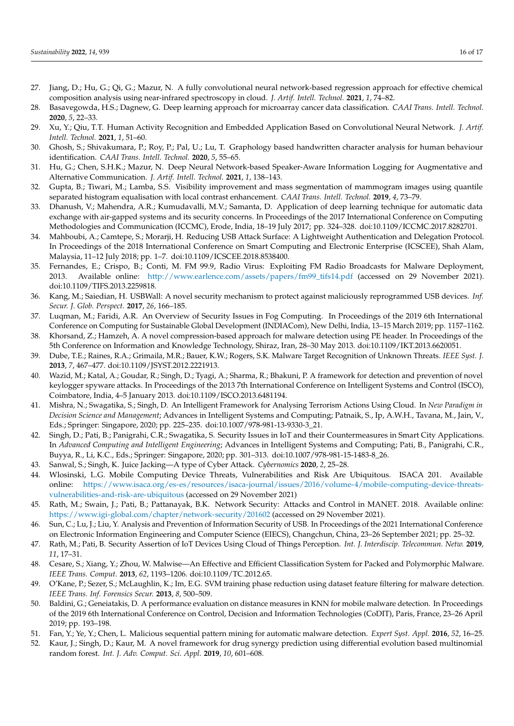- <span id="page-15-0"></span>27. Jiang, D.; Hu, G.; Qi, G.; Mazur, N. A fully convolutional neural network-based regression approach for effective chemical composition analysis using near-infrared spectroscopy in cloud. *J. Artif. Intell. Technol.* **2021**, *1*, 74–82.
- 28. Basavegowda, H.S.; Dagnew, G. Deep learning approach for microarray cancer data classification. *CAAI Trans. Intell. Technol.* **2020**, *5*, 22–33.
- <span id="page-15-1"></span>29. Xu, Y.; Qiu, T.T. Human Activity Recognition and Embedded Application Based on Convolutional Neural Network. *J. Artif. Intell. Technol.* **2021**, *1*, 51–60.
- <span id="page-15-2"></span>30. Ghosh, S.; Shivakumara, P.; Roy, P.; Pal, U.; Lu, T. Graphology based handwritten character analysis for human behaviour identification. *CAAI Trans. Intell. Technol.* **2020**, *5*, 55–65.
- <span id="page-15-3"></span>31. Hu, G.; Chen, S.H.K.; Mazur, N. Deep Neural Network-based Speaker-Aware Information Logging for Augmentative and Alternative Communication. *J. Artif. Intell. Technol.* **2021**, *1*, 138–143.
- <span id="page-15-4"></span>32. Gupta, B.; Tiwari, M.; Lamba, S.S. Visibility improvement and mass segmentation of mammogram images using quantile separated histogram equalisation with local contrast enhancement. *CAAI Trans. Intell. Technol.* **2019**, *4*, 73–79.
- <span id="page-15-5"></span>33. Dhanush, V.; Mahendra, A.R.; Kumudavalli, M.V.; Samanta, D. Application of deep learning technique for automatic data exchange with air-gapped systems and its security concerns. In Proceedings of the 2017 International Conference on Computing Methodologies and Communication (ICCMC), Erode, India, 18–19 July 2017; pp. 324–328. doi[:10.1109/ICCMC.2017.8282701.](https://doi.org/10.1109/ICCMC.2017.8282701)
- <span id="page-15-6"></span>34. Mahboubi, A.; Camtepe, S.; Morarji, H. Reducing USB Attack Surface: A Lightweight Authentication and Delegation Protocol. In Proceedings of the 2018 International Conference on Smart Computing and Electronic Enterprise (ICSCEE), Shah Alam, Malaysia, 11–12 July 2018; pp. 1–7. doi[:10.1109/ICSCEE.2018.8538400.](https://doi.org/10.1109/ICSCEE.2018.8538400)
- <span id="page-15-7"></span>35. Fernandes, E.; Crispo, B.; Conti, M. FM 99.9, Radio Virus: Exploiting FM Radio Broadcasts for Malware Deployment, 2013. Available online: [http://www.earlence.com/assets/papers/fm99\\_tifs14.pdf](http://www.earlence.com/assets/papers/fm99_tifs14.pdf) (accessed on 29 November 2021). doi:10.1109/TIFS.2013.2259818.
- 36. Kang, M.; Saiedian, H. USBWall: A novel security mechanism to protect against maliciously reprogrammed USB devices. *Inf. Secur. J. Glob. Perspect.* **2017**, *26*, 166–185.
- <span id="page-15-8"></span>37. Luqman, M.; Faridi, A.R. An Overview of Security Issues in Fog Computing. In Proceedings of the 2019 6th International Conference on Computing for Sustainable Global Development (INDIACom), New Delhi, India, 13–15 March 2019; pp. 1157–1162.
- <span id="page-15-9"></span>38. Khorsand, Z.; Hamzeh, A. A novel compression-based approach for malware detection using PE header. In Proceedings of the 5th Conference on Information and Knowledge Technology, Shiraz, Iran, 28–30 May 2013. doi:10.1109/IKT.2013.6620051.
- <span id="page-15-10"></span>39. Dube, T.E.; Raines, R.A.; Grimaila, M.R.; Bauer, K.W.; Rogers, S.K. Malware Target Recognition of Unknown Threats. *IEEE Syst. J.* **2013**, *7*, 467–477. doi:10.1109/JSYST.2012.2221913.
- <span id="page-15-11"></span>40. Wazid, M.; Katal, A.; Goudar, R.; Singh, D.; Tyagi, A.; Sharma, R.; Bhakuni, P. A framework for detection and prevention of novel keylogger spyware attacks. In Proceedings of the 2013 7th International Conference on Intelligent Systems and Control (ISCO), Coimbatore, India, 4–5 January 2013. doi:10.1109/ISCO.2013.6481194.
- <span id="page-15-12"></span>41. Mishra, N.; Swagatika, S.; Singh, D. An Intelligent Framework for Analysing Terrorism Actions Using Cloud. In *New Paradigm in Decision Science and Management*; Advances in Intelligent Systems and Computing; Patnaik, S., Ip, A.W.H., Tavana, M., Jain, V., Eds.; Springer: Singapore, 2020; pp. 225–235. doi[:10.1007/978-981-13-9330-3\\_21.](https://doi.org/10.1007/978-981-13-9330-3_21)
- <span id="page-15-13"></span>42. Singh, D.; Pati, B.; Panigrahi, C.R.; Swagatika, S. Security Issues in IoT and their Countermeasures in Smart City Applications. In *Advanced Computing and Intelligent Engineering*; Advances in Intelligent Systems and Computing; Pati, B., Panigrahi, C.R., Buyya, R., Li, K.C., Eds.; Springer: Singapore, 2020; pp. 301–313. doi[:10.1007/978-981-15-1483-8\\_26.](https://doi.org/10.1007/978-981-15-1483-8_26)
- <span id="page-15-14"></span>43. Sanwal, S.; Singh, K. Juice Jacking—A type of Cyber Attack. *Cybernomics* **2020**, *2*, 25–28.
- <span id="page-15-15"></span>44. Wlosinski, L.G. Mobile Computing Device Threats, Vulnerabilities and Risk Are Ubiquitous. ISACA 201. Available online: [https://www.isaca.org/es-es/resources/isaca-journal/issues/2016/volume-4/mobile-computing-device-threats](https://www.isaca.org/es-es/resources/isaca-journal/issues/2016/volume-4/mobile-computing-device-threats-vulnerabilities-and-risk-are-ubiquitous)[vulnerabilities-and-risk-are-ubiquitous](https://www.isaca.org/es-es/resources/isaca-journal/issues/2016/volume-4/mobile-computing-device-threats-vulnerabilities-and-risk-are-ubiquitous) (accessed on 29 November 2021)
- <span id="page-15-16"></span>45. Rath, M.; Swain, J.; Pati, B.; Pattanayak, B.K. Network Security: Attacks and Control in MANET. 2018. Available online: <https://www.igi-global.com/chapter/network-security/201602> (accessed on 29 November 2021).
- <span id="page-15-17"></span>46. Sun, C.; Lu, J.; Liu, Y. Analysis and Prevention of Information Security of USB. In Proceedings of the 2021 International Conference on Electronic Information Engineering and Computer Science (EIECS), Changchun, China, 23–26 September 2021; pp. 25–32.
- <span id="page-15-18"></span>47. Rath, M.; Pati, B. Security Assertion of IoT Devices Using Cloud of Things Perception. *Int. J. Interdiscip. Telecommun. Netw.* **2019**, *11*, 17–31.
- <span id="page-15-19"></span>48. Cesare, S.; Xiang, Y.; Zhou, W. Malwise—An Effective and Efficient Classification System for Packed and Polymorphic Malware. *IEEE Trans. Comput.* **2013**, *62*, 1193–1206. doi:10.1109/TC.2012.65.
- <span id="page-15-20"></span>49. O'Kane, P.; Sezer, S.; McLaughlin, K.; Im, E.G. SVM training phase reduction using dataset feature filtering for malware detection. *IEEE Trans. Inf. Forensics Secur.* **2013**, *8*, 500–509.
- <span id="page-15-21"></span>50. Baldini, G.; Geneiatakis, D. A performance evaluation on distance measures in KNN for mobile malware detection. In Proceedings of the 2019 6th International Conference on Control, Decision and Information Technologies (CoDIT), Paris, France, 23–26 April 2019; pp. 193–198.
- <span id="page-15-22"></span>51. Fan, Y.; Ye, Y.; Chen, L. Malicious sequential pattern mining for automatic malware detection. *Expert Syst. Appl.* **2016**, *52*, 16–25.
- <span id="page-15-23"></span>52. Kaur, J.; Singh, D.; Kaur, M. A novel framework for drug synergy prediction using differential evolution based multinomial random forest. *Int. J. Adv. Comput. Sci. Appl.* **2019**, *10*, 601–608.